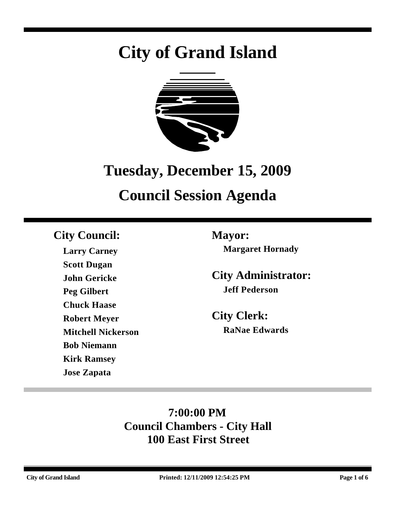# **City of Grand Island**



# **Tuesday, December 15, 2009**

# **Council Session Agenda**

### **City Council: Mayor:**

**Larry Carney Scott Dugan John Gericke Peg Gilbert Chuck Haase Robert Meyer Mitchell Nickerson Bob Niemann Kirk Ramsey Jose Zapata**

**Margaret Hornady**

**City Administrator: Jeff Pederson**

**City Clerk: RaNae Edwards**

## **7:00:00 PM Council Chambers - City Hall 100 East First Street**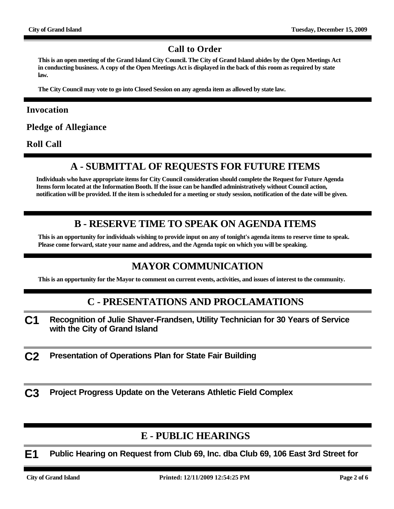#### **Call to Order**

**This is an open meeting of the Grand Island City Council. The City of Grand Island abides by the Open Meetings Act in conducting business. A copy of the Open Meetings Act is displayed in the back of this room as required by state law.**

**The City Council may vote to go into Closed Session on any agenda item as allowed by state law.**

#### **Invocation**

**Pledge of Allegiance**

**Roll Call**

#### **A - SUBMITTAL OF REQUESTS FOR FUTURE ITEMS**

**Individuals who have appropriate items for City Council consideration should complete the Request for Future Agenda Items form located at the Information Booth. If the issue can be handled administratively without Council action, notification will be provided. If the item is scheduled for a meeting or study session, notification of the date will be given.**

#### **B - RESERVE TIME TO SPEAK ON AGENDA ITEMS**

**This is an opportunity for individuals wishing to provide input on any of tonight's agenda items to reserve time to speak. Please come forward, state your name and address, and the Agenda topic on which you will be speaking.**

#### **MAYOR COMMUNICATION**

**This is an opportunity for the Mayor to comment on current events, activities, and issues of interest to the community.**

#### **C - PRESENTATIONS AND PROCLAMATIONS**

- **C1 Recognition of Julie Shaver-Frandsen, Utility Technician for 30 Years of Service with the City of Grand Island**
- **C2 Presentation of Operations Plan for State Fair Building**

**C3 Project Progress Update on the Veterans Athletic Field Complex**

#### **E - PUBLIC HEARINGS**

**E1 Public Hearing on Request from Club 69, Inc. dba Club 69, 106 East 3rd Street for**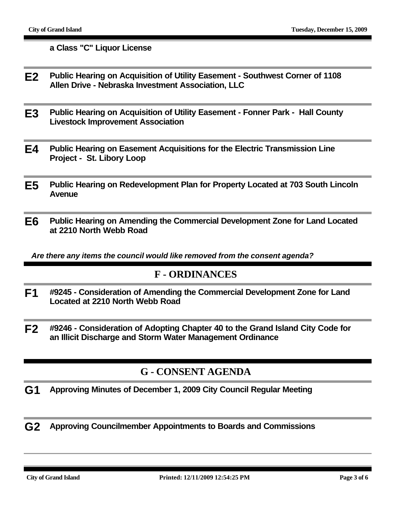**a Class "C" Liquor License**

- **E2 Public Hearing on Acquisition of Utility Easement Southwest Corner of 1108 Allen Drive - Nebraska Investment Association, LLC**
- **E3 Public Hearing on Acquisition of Utility Easement Fonner Park Hall County Livestock Improvement Association**
- **E4 Public Hearing on Easement Acquisitions for the Electric Transmission Line Project - St. Libory Loop**
- **E5 Public Hearing on Redevelopment Plan for Property Located at 703 South Lincoln Avenue**
- **E6 Public Hearing on Amending the Commercial Development Zone for Land Located at 2210 North Webb Road**

*Are there any items the council would like removed from the consent agenda?*

#### **F - ORDINANCES**

- **F1 #9245 Consideration of Amending the Commercial Development Zone for Land Located at 2210 North Webb Road**
- **F2 #9246 Consideration of Adopting Chapter 40 to the Grand Island City Code for an Illicit Discharge and Storm Water Management Ordinance**

#### **G - CONSENT AGENDA**

- **G1 Approving Minutes of December 1, 2009 City Council Regular Meeting**
- **G2 Approving Councilmember Appointments to Boards and Commissions**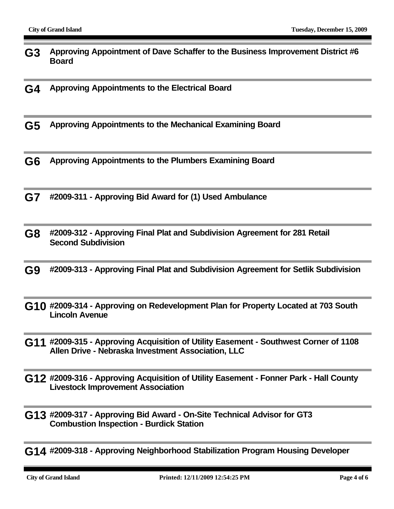- **G3 Approving Appointment of Dave Schaffer to the Business Improvement District #6 Board**
- **G4 Approving Appointments to the Electrical Board**
- **G5 Approving Appointments to the Mechanical Examining Board**
- **G6 Approving Appointments to the Plumbers Examining Board**
- **G7 #2009-311 Approving Bid Award for (1) Used Ambulance**
- **G8 #2009-312 Approving Final Plat and Subdivision Agreement for 281 Retail Second Subdivision**
- **G9 #2009-313 Approving Final Plat and Subdivision Agreement for Setlik Subdivision**
- **G10 #2009-314 Approving on Redevelopment Plan for Property Located at 703 South Lincoln Avenue**
- **G11 #2009-315 Approving Acquisition of Utility Easement Southwest Corner of 1108 Allen Drive - Nebraska Investment Association, LLC**
- **G12 #2009-316 Approving Acquisition of Utility Easement Fonner Park Hall County Livestock Improvement Association**
- **G13 #2009-317 Approving Bid Award On-Site Technical Advisor for GT3 Combustion Inspection - Burdick Station**
- **G14 #2009-318 Approving Neighborhood Stabilization Program Housing Developer**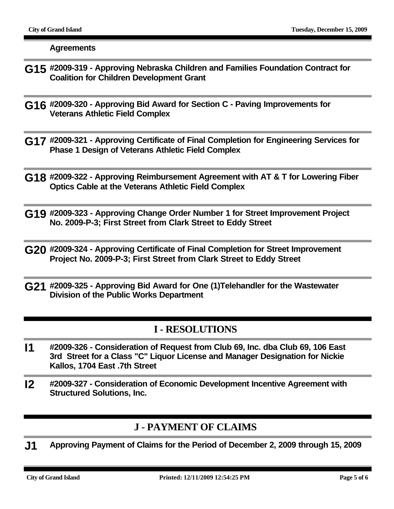**Agreements**

- **G15 #2009-319 Approving Nebraska Children and Families Foundation Contract for Coalition for Children Development Grant**
- **G16 #2009-320 Approving Bid Award for Section C Paving Improvements for Veterans Athletic Field Complex**
- **G17 #2009-321 Approving Certificate of Final Completion for Engineering Services for Phase 1 Design of Veterans Athletic Field Complex**
- **G18 #2009-322 Approving Reimbursement Agreement with AT & T for Lowering Fiber Optics Cable at the Veterans Athletic Field Complex**
- **G19 #2009-323 Approving Change Order Number 1 for Street Improvement Project No. 2009-P-3; First Street from Clark Street to Eddy Street**
- **G20 #2009-324 Approving Certificate of Final Completion for Street Improvement Project No. 2009-P-3; First Street from Clark Street to Eddy Street**
- **G21 #2009-325 Approving Bid Award for One (1)Telehandler for the Wastewater Division of the Public Works Department**

#### **I - RESOLUTIONS**

- **I1 #2009-326 Consideration of Request from Club 69, Inc. dba Club 69, 106 East 3rd Street for a Class "C" Liquor License and Manager Designation for Nickie Kallos, 1704 East .7th Street**
- **I2 #2009-327 Consideration of Economic Development Incentive Agreement with Structured Solutions, Inc.**

### **J - PAYMENT OF CLAIMS**

**J1 Approving Payment of Claims for the Period of December 2, 2009 through 15, 2009**